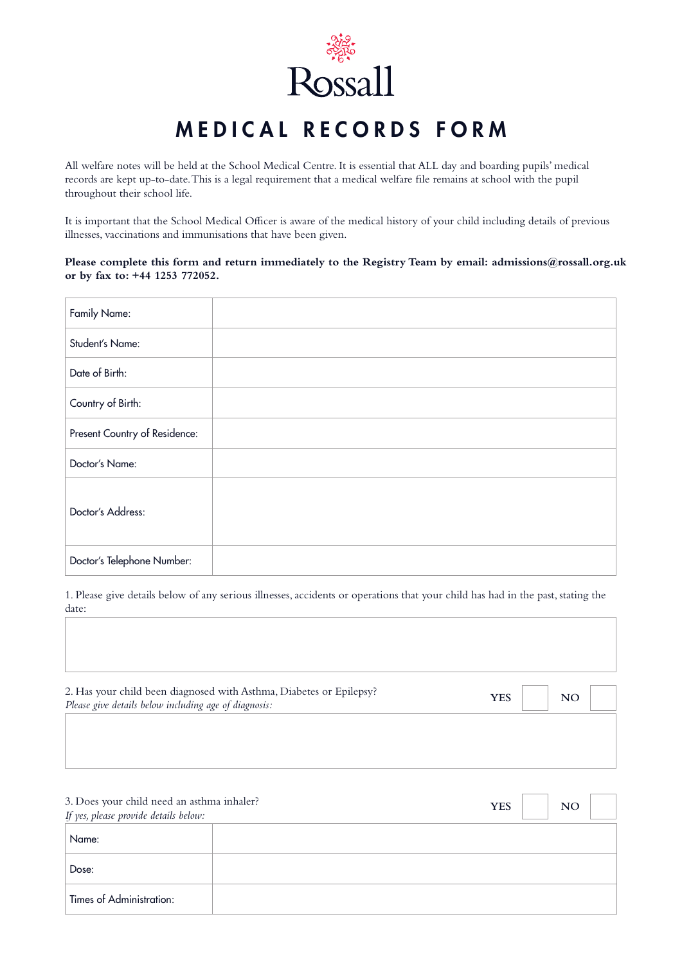

# MEDICAL RECORDS FORM

All welfare notes will be held at the School Medical Centre. It is essential that ALL day and boarding pupils' medical records are kept up-to-date. This is a legal requirement that a medical welfare file remains at school with the pupil throughout their school life.

It is important that the School Medical Officer is aware of the medical history of your child including details of previous illnesses, vaccinations and immunisations that have been given.

**Please complete this form and return immediately to the Registry Team by email: admissions@rossall.org.uk or by fax to: +44 1253 772052.**

| Family Name:                  |  |
|-------------------------------|--|
| Student's Name:               |  |
| Date of Birth:                |  |
| Country of Birth:             |  |
| Present Country of Residence: |  |
| Doctor's Name:                |  |
| Doctor's Address:             |  |
| Doctor's Telephone Number:    |  |

1. Please give details below of any serious illnesses, accidents or operations that your child has had in the past, stating the date:

| 2. Has your child been diagnosed with Asthma, Diabetes or Epilepsy?<br>Please give details below including age of diagnosis: | <b>YES</b> | <b>NO</b> |  |
|------------------------------------------------------------------------------------------------------------------------------|------------|-----------|--|
|                                                                                                                              |            |           |  |

| 3. Does your child need an asthma inhaler?<br>If yes, please provide details below: | <b>YES</b><br><b>NO</b> |
|-------------------------------------------------------------------------------------|-------------------------|
| Name:                                                                               |                         |
| Dose:                                                                               |                         |
| <b>Times of Administration:</b>                                                     |                         |